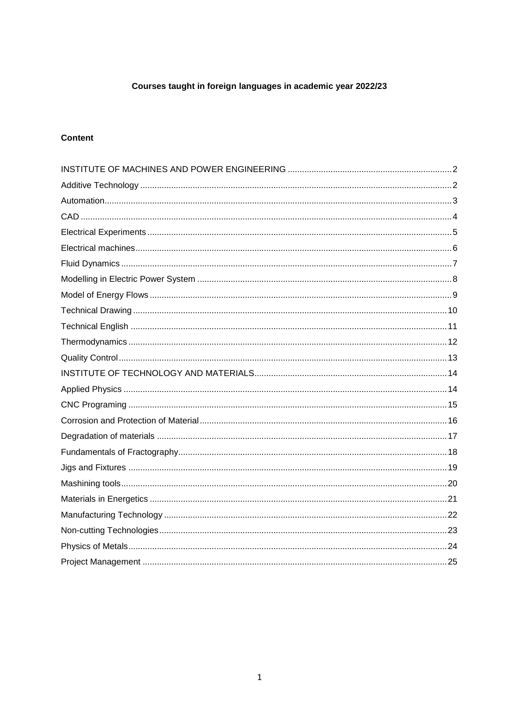## Courses taught in foreign languages in academic year 2022/23

## **Content**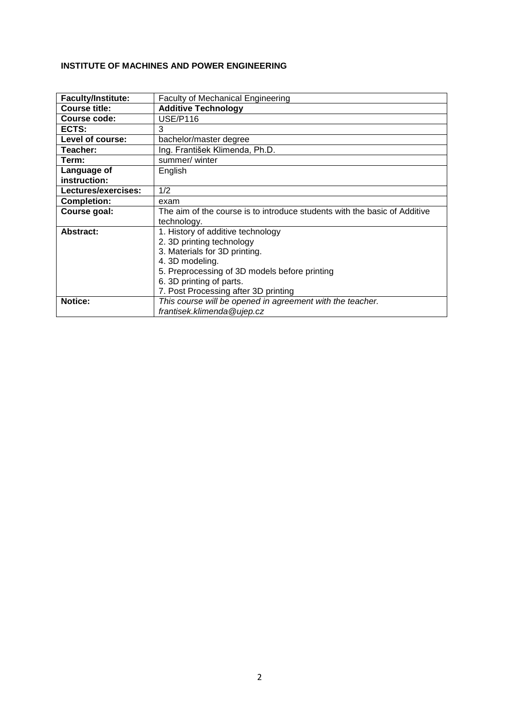## <span id="page-1-0"></span>**INSTITUTE OF MACHINES AND POWER ENGINEERING**

<span id="page-1-1"></span>

| <b>Faculty/Institute:</b> | <b>Faculty of Mechanical Engineering</b>                                  |
|---------------------------|---------------------------------------------------------------------------|
| <b>Course title:</b>      | <b>Additive Technology</b>                                                |
| Course code:              | <b>USE/P116</b>                                                           |
| ECTS:                     | 3                                                                         |
| Level of course:          | bachelor/master degree                                                    |
| Teacher:                  | Ing. František Klimenda, Ph.D.                                            |
| Term:                     | summer/winter                                                             |
| Language of               | English                                                                   |
| instruction:              |                                                                           |
| Lectures/exercises:       | 1/2                                                                       |
| <b>Completion:</b>        | exam                                                                      |
| Course goal:              | The aim of the course is to introduce students with the basic of Additive |
|                           | technology.                                                               |
| Abstract:                 | 1. History of additive technology                                         |
|                           | 2. 3D printing technology                                                 |
|                           | 3. Materials for 3D printing.                                             |
|                           | 4. 3D modeling.                                                           |
|                           | 5. Preprocessing of 3D models before printing                             |
|                           | 6. 3D printing of parts.                                                  |
|                           | 7. Post Processing after 3D printing                                      |
| Notice:                   | This course will be opened in agreement with the teacher.                 |
|                           | frantisek.klimenda@ujep.cz                                                |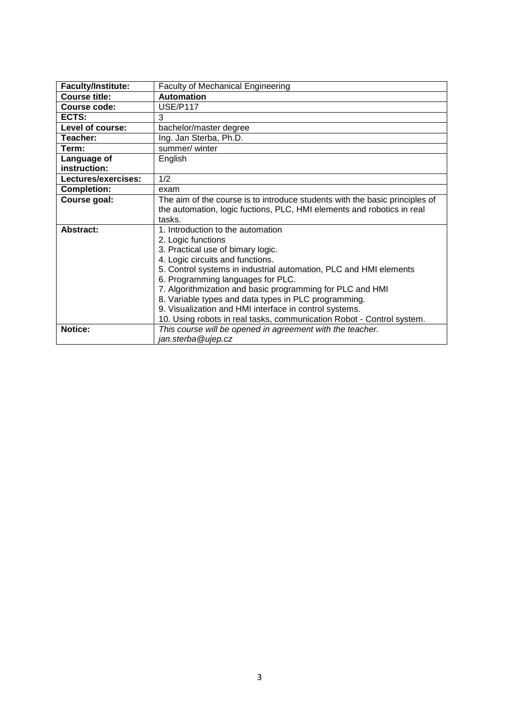<span id="page-2-0"></span>

| <b>Faculty/Institute:</b> | <b>Faculty of Mechanical Engineering</b>                                    |
|---------------------------|-----------------------------------------------------------------------------|
| <b>Course title:</b>      | <b>Automation</b>                                                           |
| Course code:              | <b>USE/P117</b>                                                             |
| ECTS:                     | 3                                                                           |
| Level of course:          | bachelor/master degree                                                      |
| Teacher:                  | Ing. Jan Sterba, Ph.D.                                                      |
| Term:                     | summer/ winter                                                              |
| Language of               | English                                                                     |
| instruction:              |                                                                             |
| Lectures/exercises:       | 1/2                                                                         |
| <b>Completion:</b>        | exam                                                                        |
| Course goal:              | The aim of the course is to introduce students with the basic principles of |
|                           | the automation, logic fuctions, PLC, HMI elements and robotics in real      |
|                           | tasks.                                                                      |
| <b>Abstract:</b>          | 1. Introduction to the automation                                           |
|                           | 2. Logic functions                                                          |
|                           | 3. Practical use of bimary logic.                                           |
|                           | 4. Logic circuits and functions.                                            |
|                           | 5. Control systems in industrial automation, PLC and HMI elements           |
|                           | 6. Programming languages for PLC.                                           |
|                           | 7. Algorithmization and basic programming for PLC and HMI                   |
|                           | 8. Variable types and data types in PLC programming.                        |
|                           | 9. Visualization and HMI interface in control systems.                      |
|                           | 10. Using robots in real tasks, communication Robot - Control system.       |
| Notice:                   | This course will be opened in agreement with the teacher.                   |
|                           | jan.sterba@ujep.cz                                                          |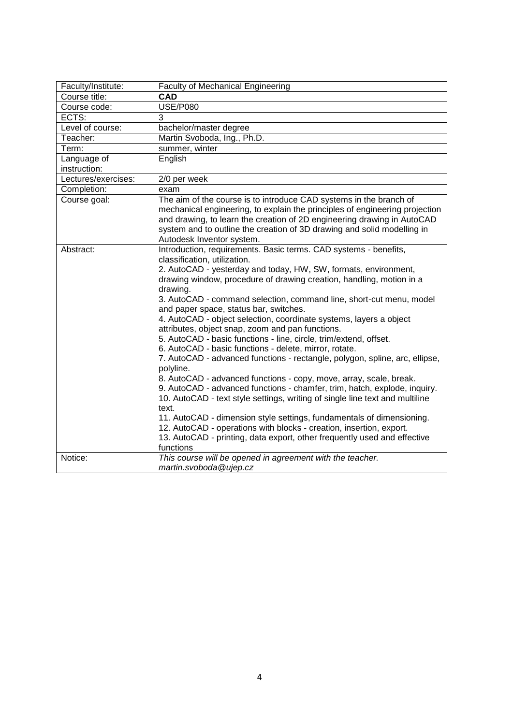<span id="page-3-0"></span>

| Faculty/Institute:  | <b>Faculty of Mechanical Engineering</b>                                                                                                                                                                                                                                                                                                                                                                                                                                                                                                                                                                                                                                                                                                                                                                                                                                                                                                                                                                                                                                                                                                                                                                           |
|---------------------|--------------------------------------------------------------------------------------------------------------------------------------------------------------------------------------------------------------------------------------------------------------------------------------------------------------------------------------------------------------------------------------------------------------------------------------------------------------------------------------------------------------------------------------------------------------------------------------------------------------------------------------------------------------------------------------------------------------------------------------------------------------------------------------------------------------------------------------------------------------------------------------------------------------------------------------------------------------------------------------------------------------------------------------------------------------------------------------------------------------------------------------------------------------------------------------------------------------------|
| Course title:       | <b>CAD</b>                                                                                                                                                                                                                                                                                                                                                                                                                                                                                                                                                                                                                                                                                                                                                                                                                                                                                                                                                                                                                                                                                                                                                                                                         |
| Course code:        | <b>USE/P080</b>                                                                                                                                                                                                                                                                                                                                                                                                                                                                                                                                                                                                                                                                                                                                                                                                                                                                                                                                                                                                                                                                                                                                                                                                    |
| ECTS:               | 3                                                                                                                                                                                                                                                                                                                                                                                                                                                                                                                                                                                                                                                                                                                                                                                                                                                                                                                                                                                                                                                                                                                                                                                                                  |
| Level of course:    | bachelor/master degree                                                                                                                                                                                                                                                                                                                                                                                                                                                                                                                                                                                                                                                                                                                                                                                                                                                                                                                                                                                                                                                                                                                                                                                             |
| Teacher:            | Martin Svoboda, Ing., Ph.D.                                                                                                                                                                                                                                                                                                                                                                                                                                                                                                                                                                                                                                                                                                                                                                                                                                                                                                                                                                                                                                                                                                                                                                                        |
| Term:               | summer, winter                                                                                                                                                                                                                                                                                                                                                                                                                                                                                                                                                                                                                                                                                                                                                                                                                                                                                                                                                                                                                                                                                                                                                                                                     |
| Language of         | English                                                                                                                                                                                                                                                                                                                                                                                                                                                                                                                                                                                                                                                                                                                                                                                                                                                                                                                                                                                                                                                                                                                                                                                                            |
| instruction:        |                                                                                                                                                                                                                                                                                                                                                                                                                                                                                                                                                                                                                                                                                                                                                                                                                                                                                                                                                                                                                                                                                                                                                                                                                    |
| Lectures/exercises: | 2/0 per week                                                                                                                                                                                                                                                                                                                                                                                                                                                                                                                                                                                                                                                                                                                                                                                                                                                                                                                                                                                                                                                                                                                                                                                                       |
| Completion:         | exam                                                                                                                                                                                                                                                                                                                                                                                                                                                                                                                                                                                                                                                                                                                                                                                                                                                                                                                                                                                                                                                                                                                                                                                                               |
| Course goal:        | The aim of the course is to introduce CAD systems in the branch of<br>mechanical engineering, to explain the principles of engineering projection<br>and drawing, to learn the creation of 2D engineering drawing in AutoCAD<br>system and to outline the creation of 3D drawing and solid modelling in<br>Autodesk Inventor system.                                                                                                                                                                                                                                                                                                                                                                                                                                                                                                                                                                                                                                                                                                                                                                                                                                                                               |
| Abstract:           | Introduction, requirements. Basic terms. CAD systems - benefits,<br>classification, utilization.<br>2. AutoCAD - yesterday and today, HW, SW, formats, environment,<br>drawing window, procedure of drawing creation, handling, motion in a<br>drawing.<br>3. AutoCAD - command selection, command line, short-cut menu, model<br>and paper space, status bar, switches.<br>4. AutoCAD - object selection, coordinate systems, layers a object<br>attributes, object snap, zoom and pan functions.<br>5. AutoCAD - basic functions - line, circle, trim/extend, offset.<br>6. AutoCAD - basic functions - delete, mirror, rotate.<br>7. AutoCAD - advanced functions - rectangle, polygon, spline, arc, ellipse,<br>polyline.<br>8. AutoCAD - advanced functions - copy, move, array, scale, break.<br>9. AutoCAD - advanced functions - chamfer, trim, hatch, explode, inquiry.<br>10. AutoCAD - text style settings, writing of single line text and multiline<br>text.<br>11. AutoCAD - dimension style settings, fundamentals of dimensioning.<br>12. AutoCAD - operations with blocks - creation, insertion, export.<br>13. AutoCAD - printing, data export, other frequently used and effective<br>functions |
| Notice:             | This course will be opened in agreement with the teacher.<br>martin.svoboda@ujep.cz                                                                                                                                                                                                                                                                                                                                                                                                                                                                                                                                                                                                                                                                                                                                                                                                                                                                                                                                                                                                                                                                                                                                |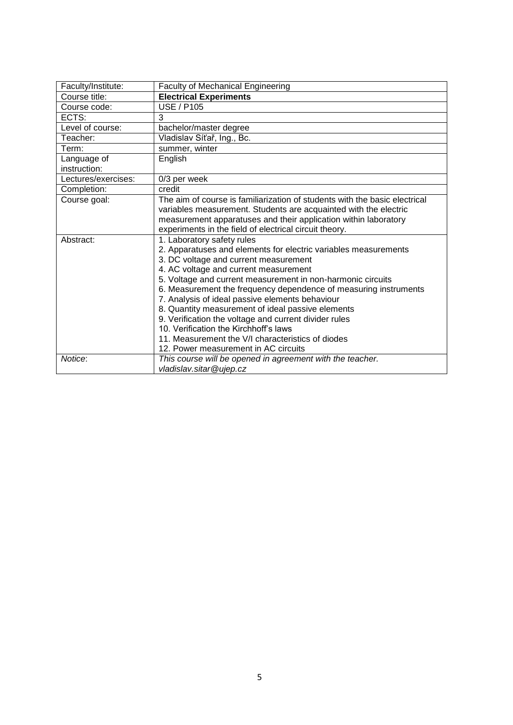<span id="page-4-0"></span>

| Faculty/Institute:          | <b>Faculty of Mechanical Engineering</b>                                   |
|-----------------------------|----------------------------------------------------------------------------|
| Course title:               | <b>Electrical Experiments</b>                                              |
| Course code:                | <b>USE / P105</b>                                                          |
| ECTS:                       | 3                                                                          |
| Level of course:            | bachelor/master degree                                                     |
| Teacher:                    | Vladislav Síťař, Ing., Bc.                                                 |
| Term:                       | summer, winter                                                             |
| Language of<br>instruction: | English                                                                    |
| Lectures/exercises:         | 0/3 per week                                                               |
| Completion:                 | credit                                                                     |
| Course goal:                | The aim of course is familiarization of students with the basic electrical |
|                             | variables measurement. Students are acquainted with the electric           |
|                             | measurement apparatuses and their application within laboratory            |
|                             | experiments in the field of electrical circuit theory.                     |
| Abstract:                   | 1. Laboratory safety rules                                                 |
|                             | 2. Apparatuses and elements for electric variables measurements            |
|                             | 3. DC voltage and current measurement                                      |
|                             | 4. AC voltage and current measurement                                      |
|                             | 5. Voltage and current measurement in non-harmonic circuits                |
|                             | 6. Measurement the frequency dependence of measuring instruments           |
|                             | 7. Analysis of ideal passive elements behaviour                            |
|                             | 8. Quantity measurement of ideal passive elements                          |
|                             | 9. Verification the voltage and current divider rules                      |
|                             | 10. Verification the Kirchhoff's laws                                      |
|                             | 11. Measurement the V/I characteristics of diodes                          |
|                             | 12. Power measurement in AC circuits                                       |
| Notice:                     | This course will be opened in agreement with the teacher.                  |
|                             | vladislav.sitar@ujep.cz                                                    |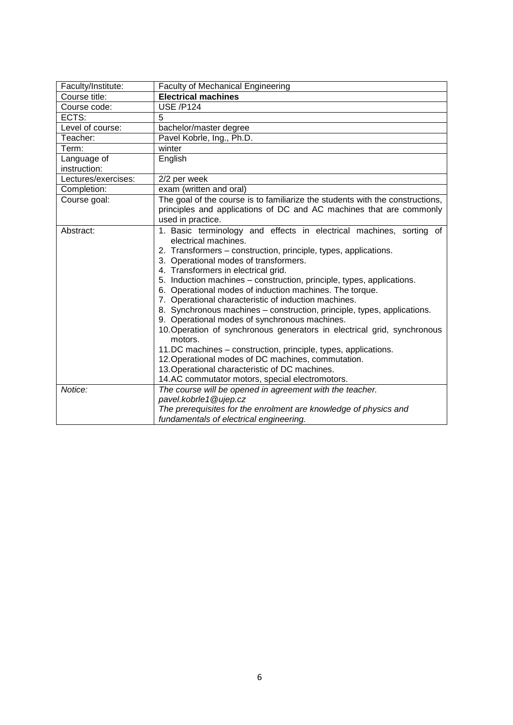<span id="page-5-0"></span>

| Faculty/Institute:          | <b>Faculty of Mechanical Engineering</b>                                                                                                                                                                                                                                                                                                                                                                                                                                                                                                                                                                                                                                                                                                                                                                                                                                                  |
|-----------------------------|-------------------------------------------------------------------------------------------------------------------------------------------------------------------------------------------------------------------------------------------------------------------------------------------------------------------------------------------------------------------------------------------------------------------------------------------------------------------------------------------------------------------------------------------------------------------------------------------------------------------------------------------------------------------------------------------------------------------------------------------------------------------------------------------------------------------------------------------------------------------------------------------|
| Course title:               | <b>Electrical machines</b>                                                                                                                                                                                                                                                                                                                                                                                                                                                                                                                                                                                                                                                                                                                                                                                                                                                                |
| Course code:                | <b>USE /P124</b>                                                                                                                                                                                                                                                                                                                                                                                                                                                                                                                                                                                                                                                                                                                                                                                                                                                                          |
| ECTS:                       | 5                                                                                                                                                                                                                                                                                                                                                                                                                                                                                                                                                                                                                                                                                                                                                                                                                                                                                         |
| Level of course:            | bachelor/master degree                                                                                                                                                                                                                                                                                                                                                                                                                                                                                                                                                                                                                                                                                                                                                                                                                                                                    |
| Teacher:                    | Pavel Kobrle, Ing., Ph.D.                                                                                                                                                                                                                                                                                                                                                                                                                                                                                                                                                                                                                                                                                                                                                                                                                                                                 |
| Term:                       | winter                                                                                                                                                                                                                                                                                                                                                                                                                                                                                                                                                                                                                                                                                                                                                                                                                                                                                    |
| Language of<br>instruction: | English                                                                                                                                                                                                                                                                                                                                                                                                                                                                                                                                                                                                                                                                                                                                                                                                                                                                                   |
| Lectures/exercises:         | 2/2 per week                                                                                                                                                                                                                                                                                                                                                                                                                                                                                                                                                                                                                                                                                                                                                                                                                                                                              |
| Completion:                 | exam (written and oral)                                                                                                                                                                                                                                                                                                                                                                                                                                                                                                                                                                                                                                                                                                                                                                                                                                                                   |
| Course goal:                | The goal of the course is to familiarize the students with the constructions,<br>principles and applications of DC and AC machines that are commonly                                                                                                                                                                                                                                                                                                                                                                                                                                                                                                                                                                                                                                                                                                                                      |
|                             | used in practice.                                                                                                                                                                                                                                                                                                                                                                                                                                                                                                                                                                                                                                                                                                                                                                                                                                                                         |
| Abstract:                   | 1. Basic terminology and effects in electrical machines, sorting of<br>electrical machines.<br>2. Transformers - construction, principle, types, applications.<br>3. Operational modes of transformers.<br>4. Transformers in electrical grid.<br>5. Induction machines - construction, principle, types, applications.<br>6. Operational modes of induction machines. The torque.<br>7. Operational characteristic of induction machines.<br>8. Synchronous machines - construction, principle, types, applications.<br>9. Operational modes of synchronous machines.<br>10. Operation of synchronous generators in electrical grid, synchronous<br>motors.<br>11.DC machines - construction, principle, types, applications.<br>12. Operational modes of DC machines, commutation.<br>13. Operational characteristic of DC machines.<br>14.AC commutator motors, special electromotors. |
| Notice:                     | The course will be opened in agreement with the teacher.<br>pavel.kobrle1@ujep.cz<br>The prerequisites for the enrolment are knowledge of physics and<br>fundamentals of electrical engineering.                                                                                                                                                                                                                                                                                                                                                                                                                                                                                                                                                                                                                                                                                          |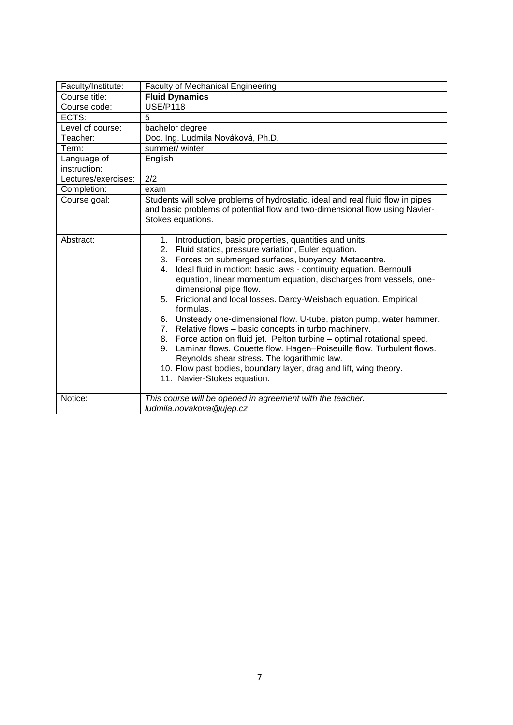<span id="page-6-0"></span>

| Faculty/Institute:  | <b>Faculty of Mechanical Engineering</b>                                                                                                                                                                                                                                                                                                                                                                                                                                                                                                                                                                                                                                                                                                                                                                                                                                                                   |
|---------------------|------------------------------------------------------------------------------------------------------------------------------------------------------------------------------------------------------------------------------------------------------------------------------------------------------------------------------------------------------------------------------------------------------------------------------------------------------------------------------------------------------------------------------------------------------------------------------------------------------------------------------------------------------------------------------------------------------------------------------------------------------------------------------------------------------------------------------------------------------------------------------------------------------------|
| Course title:       | <b>Fluid Dynamics</b>                                                                                                                                                                                                                                                                                                                                                                                                                                                                                                                                                                                                                                                                                                                                                                                                                                                                                      |
| Course code:        | <b>USE/P118</b>                                                                                                                                                                                                                                                                                                                                                                                                                                                                                                                                                                                                                                                                                                                                                                                                                                                                                            |
| ECTS:               | 5                                                                                                                                                                                                                                                                                                                                                                                                                                                                                                                                                                                                                                                                                                                                                                                                                                                                                                          |
| Level of course:    | bachelor degree                                                                                                                                                                                                                                                                                                                                                                                                                                                                                                                                                                                                                                                                                                                                                                                                                                                                                            |
| Teacher:            | Doc. Ing. Ludmila Nováková, Ph.D.                                                                                                                                                                                                                                                                                                                                                                                                                                                                                                                                                                                                                                                                                                                                                                                                                                                                          |
| Term:               | summer/winter                                                                                                                                                                                                                                                                                                                                                                                                                                                                                                                                                                                                                                                                                                                                                                                                                                                                                              |
| Language of         | English                                                                                                                                                                                                                                                                                                                                                                                                                                                                                                                                                                                                                                                                                                                                                                                                                                                                                                    |
| instruction:        |                                                                                                                                                                                                                                                                                                                                                                                                                                                                                                                                                                                                                                                                                                                                                                                                                                                                                                            |
| Lectures/exercises: | 2/2                                                                                                                                                                                                                                                                                                                                                                                                                                                                                                                                                                                                                                                                                                                                                                                                                                                                                                        |
| Completion:         | exam                                                                                                                                                                                                                                                                                                                                                                                                                                                                                                                                                                                                                                                                                                                                                                                                                                                                                                       |
| Course goal:        | Students will solve problems of hydrostatic, ideal and real fluid flow in pipes<br>and basic problems of potential flow and two-dimensional flow using Navier-<br>Stokes equations.                                                                                                                                                                                                                                                                                                                                                                                                                                                                                                                                                                                                                                                                                                                        |
| Abstract:           | Introduction, basic properties, quantities and units,<br>1.<br>Fluid statics, pressure variation, Euler equation.<br>2.<br>Forces on submerged surfaces, buoyancy. Metacentre.<br>3.<br>Ideal fluid in motion: basic laws - continuity equation. Bernoulli<br>4.<br>equation, linear momentum equation, discharges from vessels, one-<br>dimensional pipe flow.<br>Frictional and local losses. Darcy-Weisbach equation. Empirical<br>5.<br>formulas.<br>6. Unsteady one-dimensional flow. U-tube, piston pump, water hammer.<br>Relative flows - basic concepts in turbo machinery.<br>7.<br>Force action on fluid jet. Pelton turbine - optimal rotational speed.<br>8.<br>Laminar flows. Couette flow. Hagen-Poiseuille flow. Turbulent flows.<br>9.<br>Reynolds shear stress. The logarithmic law.<br>10. Flow past bodies, boundary layer, drag and lift, wing theory.<br>11. Navier-Stokes equation. |
| Notice:             | This course will be opened in agreement with the teacher.<br>ludmila.novakova@ujep.cz                                                                                                                                                                                                                                                                                                                                                                                                                                                                                                                                                                                                                                                                                                                                                                                                                      |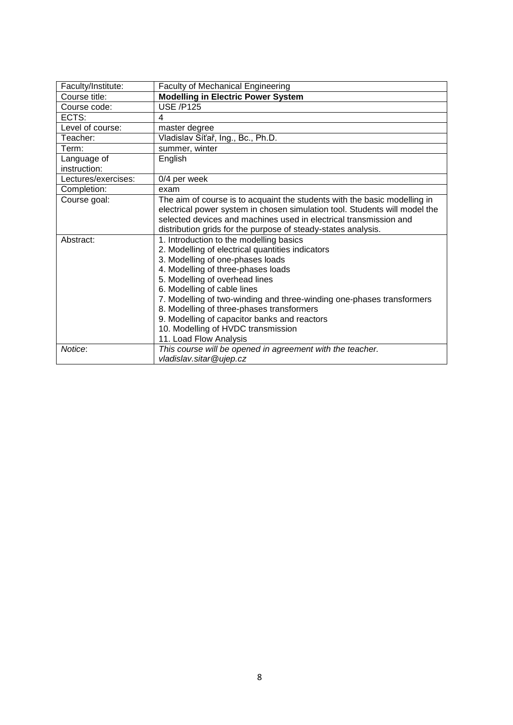<span id="page-7-0"></span>

| Faculty/Institute:  | <b>Faculty of Mechanical Engineering</b>                                   |
|---------------------|----------------------------------------------------------------------------|
| Course title:       | <b>Modelling in Electric Power System</b>                                  |
| Course code:        | <b>USE /P125</b>                                                           |
| ECTS:               | 4                                                                          |
| Level of course:    | master degree                                                              |
| Teacher:            | Vladislav Síťař, Ing., Bc., Ph.D.                                          |
| Term:               | summer, winter                                                             |
| Language of         | English                                                                    |
| instruction:        |                                                                            |
| Lectures/exercises: | 0/4 per week                                                               |
| Completion:         | exam                                                                       |
| Course goal:        | The aim of course is to acquaint the students with the basic modelling in  |
|                     | electrical power system in chosen simulation tool. Students will model the |
|                     | selected devices and machines used in electrical transmission and          |
|                     | distribution grids for the purpose of steady-states analysis.              |
| Abstract:           | 1. Introduction to the modelling basics                                    |
|                     | 2. Modelling of electrical quantities indicators                           |
|                     | 3. Modelling of one-phases loads                                           |
|                     | 4. Modelling of three-phases loads                                         |
|                     | 5. Modelling of overhead lines                                             |
|                     | 6. Modelling of cable lines                                                |
|                     | 7. Modelling of two-winding and three-winding one-phases transformers      |
|                     | 8. Modelling of three-phases transformers                                  |
|                     | 9. Modelling of capacitor banks and reactors                               |
|                     | 10. Modelling of HVDC transmission                                         |
|                     | 11. Load Flow Analysis                                                     |
| Notice:             | This course will be opened in agreement with the teacher.                  |
|                     | vladislav.sitar@ujep.cz                                                    |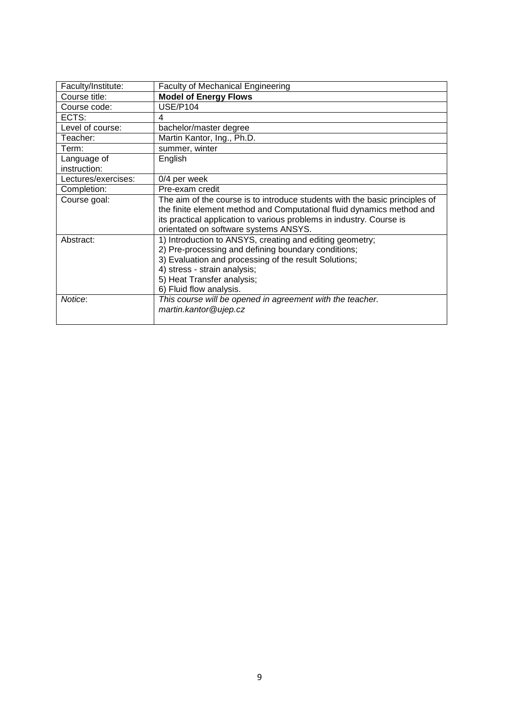<span id="page-8-0"></span>

| Faculty/Institute:  | <b>Faculty of Mechanical Engineering</b>                                    |
|---------------------|-----------------------------------------------------------------------------|
| Course title:       | <b>Model of Energy Flows</b>                                                |
| Course code:        | <b>USE/P104</b>                                                             |
| ECTS:               | 4                                                                           |
| Level of course:    | bachelor/master degree                                                      |
| Teacher:            | Martin Kantor, Ing., Ph.D.                                                  |
| Term:               | summer, winter                                                              |
| Language of         | English                                                                     |
| instruction:        |                                                                             |
| Lectures/exercises: | 0/4 per week                                                                |
| Completion:         | Pre-exam credit                                                             |
| Course goal:        | The aim of the course is to introduce students with the basic principles of |
|                     | the finite element method and Computational fluid dynamics method and       |
|                     | its practical application to various problems in industry. Course is        |
|                     | orientated on software systems ANSYS.                                       |
| Abstract:           | 1) Introduction to ANSYS, creating and editing geometry;                    |
|                     | 2) Pre-processing and defining boundary conditions;                         |
|                     | 3) Evaluation and processing of the result Solutions;                       |
|                     | 4) stress - strain analysis;                                                |
|                     | 5) Heat Transfer analysis;                                                  |
|                     | 6) Fluid flow analysis.                                                     |
| Notice:             | This course will be opened in agreement with the teacher.                   |
|                     | martin.kantor@ujep.cz                                                       |
|                     |                                                                             |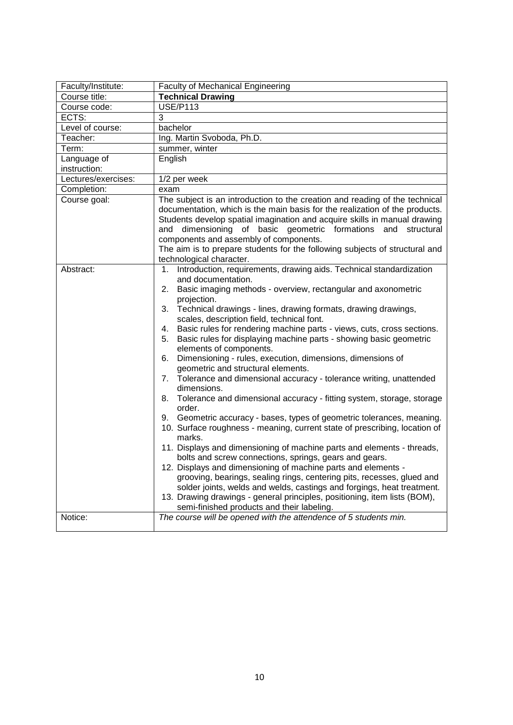<span id="page-9-0"></span>

| Faculty/Institute:  | <b>Faculty of Mechanical Engineering</b>                                                                                                                                                                                                                                                                                                                                                                                                                                                                                                                                                                                                                                                                                                                                                                                                                                                                                                                                                                                                                                                                                                                                                                                                                                                                                                                                                                                          |
|---------------------|-----------------------------------------------------------------------------------------------------------------------------------------------------------------------------------------------------------------------------------------------------------------------------------------------------------------------------------------------------------------------------------------------------------------------------------------------------------------------------------------------------------------------------------------------------------------------------------------------------------------------------------------------------------------------------------------------------------------------------------------------------------------------------------------------------------------------------------------------------------------------------------------------------------------------------------------------------------------------------------------------------------------------------------------------------------------------------------------------------------------------------------------------------------------------------------------------------------------------------------------------------------------------------------------------------------------------------------------------------------------------------------------------------------------------------------|
| Course title:       | <b>Technical Drawing</b>                                                                                                                                                                                                                                                                                                                                                                                                                                                                                                                                                                                                                                                                                                                                                                                                                                                                                                                                                                                                                                                                                                                                                                                                                                                                                                                                                                                                          |
| Course code:        | <b>USE/P113</b>                                                                                                                                                                                                                                                                                                                                                                                                                                                                                                                                                                                                                                                                                                                                                                                                                                                                                                                                                                                                                                                                                                                                                                                                                                                                                                                                                                                                                   |
| ECTS:               | 3                                                                                                                                                                                                                                                                                                                                                                                                                                                                                                                                                                                                                                                                                                                                                                                                                                                                                                                                                                                                                                                                                                                                                                                                                                                                                                                                                                                                                                 |
| Level of course:    | bachelor                                                                                                                                                                                                                                                                                                                                                                                                                                                                                                                                                                                                                                                                                                                                                                                                                                                                                                                                                                                                                                                                                                                                                                                                                                                                                                                                                                                                                          |
| Teacher:            | Ing. Martin Svoboda, Ph.D.                                                                                                                                                                                                                                                                                                                                                                                                                                                                                                                                                                                                                                                                                                                                                                                                                                                                                                                                                                                                                                                                                                                                                                                                                                                                                                                                                                                                        |
| Term:               | summer, winter                                                                                                                                                                                                                                                                                                                                                                                                                                                                                                                                                                                                                                                                                                                                                                                                                                                                                                                                                                                                                                                                                                                                                                                                                                                                                                                                                                                                                    |
| Language of         | English                                                                                                                                                                                                                                                                                                                                                                                                                                                                                                                                                                                                                                                                                                                                                                                                                                                                                                                                                                                                                                                                                                                                                                                                                                                                                                                                                                                                                           |
| instruction:        |                                                                                                                                                                                                                                                                                                                                                                                                                                                                                                                                                                                                                                                                                                                                                                                                                                                                                                                                                                                                                                                                                                                                                                                                                                                                                                                                                                                                                                   |
| Lectures/exercises: | 1/2 per week                                                                                                                                                                                                                                                                                                                                                                                                                                                                                                                                                                                                                                                                                                                                                                                                                                                                                                                                                                                                                                                                                                                                                                                                                                                                                                                                                                                                                      |
| Completion:         | exam                                                                                                                                                                                                                                                                                                                                                                                                                                                                                                                                                                                                                                                                                                                                                                                                                                                                                                                                                                                                                                                                                                                                                                                                                                                                                                                                                                                                                              |
| Course goal:        | The subject is an introduction to the creation and reading of the technical<br>documentation, which is the main basis for the realization of the products.<br>Students develop spatial imagination and acquire skills in manual drawing<br>and dimensioning of basic geometric formations and structural<br>components and assembly of components.<br>The aim is to prepare students for the following subjects of structural and                                                                                                                                                                                                                                                                                                                                                                                                                                                                                                                                                                                                                                                                                                                                                                                                                                                                                                                                                                                                 |
|                     | technological character.                                                                                                                                                                                                                                                                                                                                                                                                                                                                                                                                                                                                                                                                                                                                                                                                                                                                                                                                                                                                                                                                                                                                                                                                                                                                                                                                                                                                          |
| Abstract:           | 1. Introduction, requirements, drawing aids. Technical standardization<br>and documentation.<br>2. Basic imaging methods - overview, rectangular and axonometric<br>projection.<br>3. Technical drawings - lines, drawing formats, drawing drawings,<br>scales, description field, technical font.<br>4. Basic rules for rendering machine parts - views, cuts, cross sections.<br>Basic rules for displaying machine parts - showing basic geometric<br>5.<br>elements of components.<br>6. Dimensioning - rules, execution, dimensions, dimensions of<br>geometric and structural elements.<br>7. Tolerance and dimensional accuracy - tolerance writing, unattended<br>dimensions.<br>8. Tolerance and dimensional accuracy - fitting system, storage, storage<br>order.<br>9. Geometric accuracy - bases, types of geometric tolerances, meaning.<br>10. Surface roughness - meaning, current state of prescribing, location of<br>marks.<br>11. Displays and dimensioning of machine parts and elements - threads,<br>bolts and screw connections, springs, gears and gears.<br>12. Displays and dimensioning of machine parts and elements -<br>grooving, bearings, sealing rings, centering pits, recesses, glued and<br>solder joints, welds and welds, castings and forgings, heat treatment.<br>13. Drawing drawings - general principles, positioning, item lists (BOM),<br>semi-finished products and their labeling. |
| Notice:             | The course will be opened with the attendence of 5 students min.                                                                                                                                                                                                                                                                                                                                                                                                                                                                                                                                                                                                                                                                                                                                                                                                                                                                                                                                                                                                                                                                                                                                                                                                                                                                                                                                                                  |
|                     |                                                                                                                                                                                                                                                                                                                                                                                                                                                                                                                                                                                                                                                                                                                                                                                                                                                                                                                                                                                                                                                                                                                                                                                                                                                                                                                                                                                                                                   |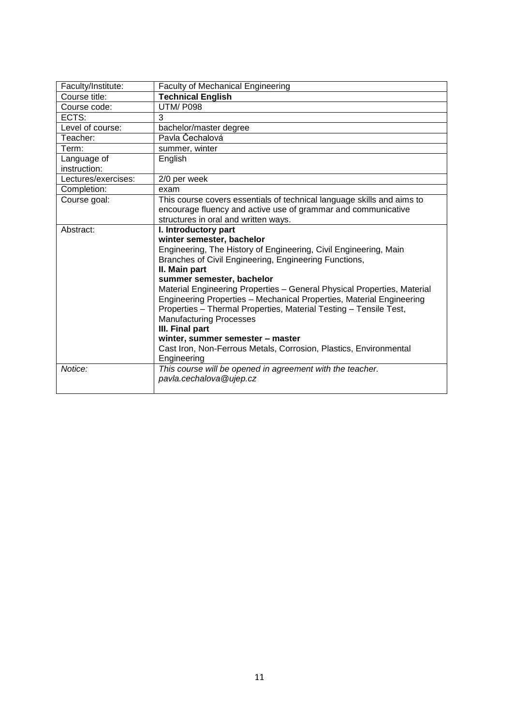<span id="page-10-0"></span>

| Faculty/Institute:          | <b>Faculty of Mechanical Engineering</b>                                                                                                                                                                                                                                                                                                                                                                                                                                                                                                                                                                                          |
|-----------------------------|-----------------------------------------------------------------------------------------------------------------------------------------------------------------------------------------------------------------------------------------------------------------------------------------------------------------------------------------------------------------------------------------------------------------------------------------------------------------------------------------------------------------------------------------------------------------------------------------------------------------------------------|
| Course title:               | <b>Technical English</b>                                                                                                                                                                                                                                                                                                                                                                                                                                                                                                                                                                                                          |
| Course code:                | UTM/P098                                                                                                                                                                                                                                                                                                                                                                                                                                                                                                                                                                                                                          |
| ECTS:                       | 3                                                                                                                                                                                                                                                                                                                                                                                                                                                                                                                                                                                                                                 |
| Level of course:            | bachelor/master degree                                                                                                                                                                                                                                                                                                                                                                                                                                                                                                                                                                                                            |
| Teacher:                    | Pavla Čechalová                                                                                                                                                                                                                                                                                                                                                                                                                                                                                                                                                                                                                   |
| Term:                       | summer, winter                                                                                                                                                                                                                                                                                                                                                                                                                                                                                                                                                                                                                    |
| Language of<br>instruction: | English                                                                                                                                                                                                                                                                                                                                                                                                                                                                                                                                                                                                                           |
| Lectures/exercises:         | 2/0 per week                                                                                                                                                                                                                                                                                                                                                                                                                                                                                                                                                                                                                      |
| Completion:                 | exam                                                                                                                                                                                                                                                                                                                                                                                                                                                                                                                                                                                                                              |
| Course goal:                | This course covers essentials of technical language skills and aims to<br>encourage fluency and active use of grammar and communicative<br>structures in oral and written ways.                                                                                                                                                                                                                                                                                                                                                                                                                                                   |
| Abstract:                   | I. Introductory part<br>winter semester, bachelor<br>Engineering, The History of Engineering, Civil Engineering, Main<br>Branches of Civil Engineering, Engineering Functions,<br>II. Main part<br>summer semester, bachelor<br>Material Engineering Properties - General Physical Properties, Material<br>Engineering Properties - Mechanical Properties, Material Engineering<br>Properties - Thermal Properties, Material Testing - Tensile Test,<br><b>Manufacturing Processes</b><br>III. Final part<br>winter, summer semester - master<br>Cast Iron, Non-Ferrous Metals, Corrosion, Plastics, Environmental<br>Engineering |
| Notice:                     | This course will be opened in agreement with the teacher.<br>pavla.cechalova@ujep.cz                                                                                                                                                                                                                                                                                                                                                                                                                                                                                                                                              |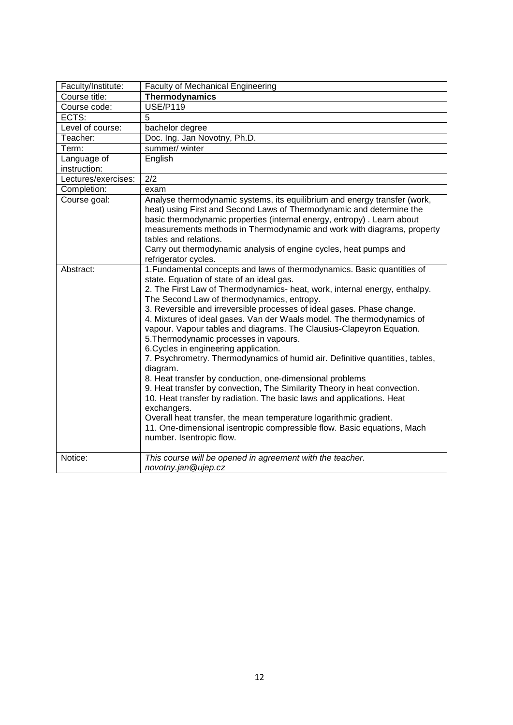<span id="page-11-0"></span>

| Faculty/Institute:  | <b>Faculty of Mechanical Engineering</b>                                                                                                                                                                                                                                                                                                                                                                                                                                                                                                                                                                                                                                                                                                                                                                                                                                                                                                                                                                                                                                 |
|---------------------|--------------------------------------------------------------------------------------------------------------------------------------------------------------------------------------------------------------------------------------------------------------------------------------------------------------------------------------------------------------------------------------------------------------------------------------------------------------------------------------------------------------------------------------------------------------------------------------------------------------------------------------------------------------------------------------------------------------------------------------------------------------------------------------------------------------------------------------------------------------------------------------------------------------------------------------------------------------------------------------------------------------------------------------------------------------------------|
| Course title:       | Thermodynamics                                                                                                                                                                                                                                                                                                                                                                                                                                                                                                                                                                                                                                                                                                                                                                                                                                                                                                                                                                                                                                                           |
| Course code:        | <b>USE/P119</b>                                                                                                                                                                                                                                                                                                                                                                                                                                                                                                                                                                                                                                                                                                                                                                                                                                                                                                                                                                                                                                                          |
| ECTS:               | 5                                                                                                                                                                                                                                                                                                                                                                                                                                                                                                                                                                                                                                                                                                                                                                                                                                                                                                                                                                                                                                                                        |
| Level of course:    | bachelor degree                                                                                                                                                                                                                                                                                                                                                                                                                                                                                                                                                                                                                                                                                                                                                                                                                                                                                                                                                                                                                                                          |
| Teacher:            | Doc. Ing. Jan Novotny, Ph.D.                                                                                                                                                                                                                                                                                                                                                                                                                                                                                                                                                                                                                                                                                                                                                                                                                                                                                                                                                                                                                                             |
| Term:               | summer/ winter                                                                                                                                                                                                                                                                                                                                                                                                                                                                                                                                                                                                                                                                                                                                                                                                                                                                                                                                                                                                                                                           |
| Language of         | English                                                                                                                                                                                                                                                                                                                                                                                                                                                                                                                                                                                                                                                                                                                                                                                                                                                                                                                                                                                                                                                                  |
| instruction:        |                                                                                                                                                                                                                                                                                                                                                                                                                                                                                                                                                                                                                                                                                                                                                                                                                                                                                                                                                                                                                                                                          |
| Lectures/exercises: | $\overline{2/2}$                                                                                                                                                                                                                                                                                                                                                                                                                                                                                                                                                                                                                                                                                                                                                                                                                                                                                                                                                                                                                                                         |
| Completion:         | exam                                                                                                                                                                                                                                                                                                                                                                                                                                                                                                                                                                                                                                                                                                                                                                                                                                                                                                                                                                                                                                                                     |
| Course goal:        | Analyse thermodynamic systems, its equilibrium and energy transfer (work,<br>heat) using First and Second Laws of Thermodynamic and determine the<br>basic thermodynamic properties (internal energy, entropy). Learn about<br>measurements methods in Thermodynamic and work with diagrams, property<br>tables and relations.<br>Carry out thermodynamic analysis of engine cycles, heat pumps and<br>refrigerator cycles.                                                                                                                                                                                                                                                                                                                                                                                                                                                                                                                                                                                                                                              |
| Abstract:           | 1. Fundamental concepts and laws of thermodynamics. Basic quantities of<br>state. Equation of state of an ideal gas.<br>2. The First Law of Thermodynamics- heat, work, internal energy, enthalpy.<br>The Second Law of thermodynamics, entropy.<br>3. Reversible and irreversible processes of ideal gases. Phase change.<br>4. Mixtures of ideal gases. Van der Waals model. The thermodynamics of<br>vapour. Vapour tables and diagrams. The Clausius-Clapeyron Equation.<br>5. Thermodynamic processes in vapours.<br>6. Cycles in engineering application.<br>7. Psychrometry. Thermodynamics of humid air. Definitive quantities, tables,<br>diagram.<br>8. Heat transfer by conduction, one-dimensional problems<br>9. Heat transfer by convection, The Similarity Theory in heat convection.<br>10. Heat transfer by radiation. The basic laws and applications. Heat<br>exchangers.<br>Overall heat transfer, the mean temperature logarithmic gradient.<br>11. One-dimensional isentropic compressible flow. Basic equations, Mach<br>number. Isentropic flow. |
| Notice:             | This course will be opened in agreement with the teacher.<br>novotny.jan@ujep.cz                                                                                                                                                                                                                                                                                                                                                                                                                                                                                                                                                                                                                                                                                                                                                                                                                                                                                                                                                                                         |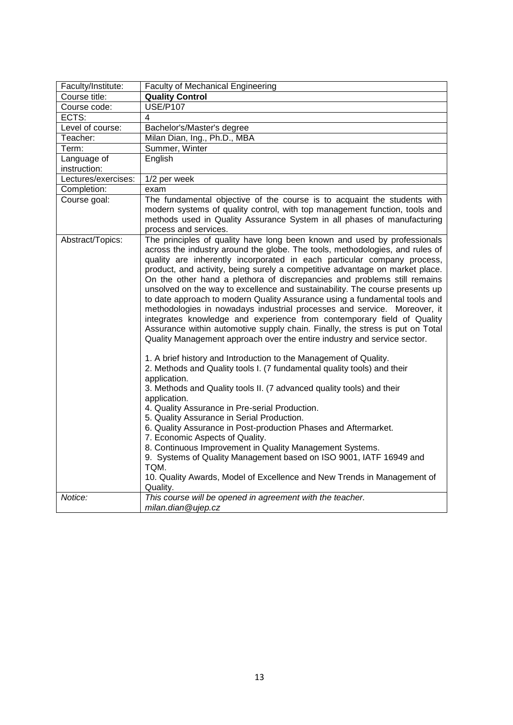<span id="page-12-0"></span>

| Faculty/Institute:  | <b>Faculty of Mechanical Engineering</b>                                                                                                                                                                                                                                                                                                                                                                                                                                                                                                                                                                                                                                                                                                                                                                                                                                                                                                                                                                                                                                                                                                                                                                                                                                                                                                                                                                                                                                                                                                                                         |  |
|---------------------|----------------------------------------------------------------------------------------------------------------------------------------------------------------------------------------------------------------------------------------------------------------------------------------------------------------------------------------------------------------------------------------------------------------------------------------------------------------------------------------------------------------------------------------------------------------------------------------------------------------------------------------------------------------------------------------------------------------------------------------------------------------------------------------------------------------------------------------------------------------------------------------------------------------------------------------------------------------------------------------------------------------------------------------------------------------------------------------------------------------------------------------------------------------------------------------------------------------------------------------------------------------------------------------------------------------------------------------------------------------------------------------------------------------------------------------------------------------------------------------------------------------------------------------------------------------------------------|--|
| Course title:       | <b>Quality Control</b>                                                                                                                                                                                                                                                                                                                                                                                                                                                                                                                                                                                                                                                                                                                                                                                                                                                                                                                                                                                                                                                                                                                                                                                                                                                                                                                                                                                                                                                                                                                                                           |  |
| Course code:        | <b>USE/P107</b>                                                                                                                                                                                                                                                                                                                                                                                                                                                                                                                                                                                                                                                                                                                                                                                                                                                                                                                                                                                                                                                                                                                                                                                                                                                                                                                                                                                                                                                                                                                                                                  |  |
| ECTS:               | $\overline{4}$                                                                                                                                                                                                                                                                                                                                                                                                                                                                                                                                                                                                                                                                                                                                                                                                                                                                                                                                                                                                                                                                                                                                                                                                                                                                                                                                                                                                                                                                                                                                                                   |  |
| Level of course:    | Bachelor's/Master's degree                                                                                                                                                                                                                                                                                                                                                                                                                                                                                                                                                                                                                                                                                                                                                                                                                                                                                                                                                                                                                                                                                                                                                                                                                                                                                                                                                                                                                                                                                                                                                       |  |
| Teacher:            | Milan Dian, Ing., Ph.D., MBA                                                                                                                                                                                                                                                                                                                                                                                                                                                                                                                                                                                                                                                                                                                                                                                                                                                                                                                                                                                                                                                                                                                                                                                                                                                                                                                                                                                                                                                                                                                                                     |  |
| Term:               | Summer, Winter                                                                                                                                                                                                                                                                                                                                                                                                                                                                                                                                                                                                                                                                                                                                                                                                                                                                                                                                                                                                                                                                                                                                                                                                                                                                                                                                                                                                                                                                                                                                                                   |  |
| Language of         | English                                                                                                                                                                                                                                                                                                                                                                                                                                                                                                                                                                                                                                                                                                                                                                                                                                                                                                                                                                                                                                                                                                                                                                                                                                                                                                                                                                                                                                                                                                                                                                          |  |
| instruction:        |                                                                                                                                                                                                                                                                                                                                                                                                                                                                                                                                                                                                                                                                                                                                                                                                                                                                                                                                                                                                                                                                                                                                                                                                                                                                                                                                                                                                                                                                                                                                                                                  |  |
| Lectures/exercises: | 1/2 per week                                                                                                                                                                                                                                                                                                                                                                                                                                                                                                                                                                                                                                                                                                                                                                                                                                                                                                                                                                                                                                                                                                                                                                                                                                                                                                                                                                                                                                                                                                                                                                     |  |
| Completion:         | exam                                                                                                                                                                                                                                                                                                                                                                                                                                                                                                                                                                                                                                                                                                                                                                                                                                                                                                                                                                                                                                                                                                                                                                                                                                                                                                                                                                                                                                                                                                                                                                             |  |
| Course goal:        | The fundamental objective of the course is to acquaint the students with<br>modern systems of quality control, with top management function, tools and<br>methods used in Quality Assurance System in all phases of manufacturing<br>process and services.                                                                                                                                                                                                                                                                                                                                                                                                                                                                                                                                                                                                                                                                                                                                                                                                                                                                                                                                                                                                                                                                                                                                                                                                                                                                                                                       |  |
| Abstract/Topics:    | The principles of quality have long been known and used by professionals<br>across the industry around the globe. The tools, methodologies, and rules of<br>quality are inherently incorporated in each particular company process,<br>product, and activity, being surely a competitive advantage on market place.<br>On the other hand a plethora of discrepancies and problems still remains<br>unsolved on the way to excellence and sustainability. The course presents up<br>to date approach to modern Quality Assurance using a fundamental tools and<br>methodologies in nowadays industrial processes and service. Moreover, it<br>integrates knowledge and experience from contemporary field of Quality<br>Assurance within automotive supply chain. Finally, the stress is put on Total<br>Quality Management approach over the entire industry and service sector.<br>1. A brief history and Introduction to the Management of Quality.<br>2. Methods and Quality tools I. (7 fundamental quality tools) and their<br>application.<br>3. Methods and Quality tools II. (7 advanced quality tools) and their<br>application.<br>4. Quality Assurance in Pre-serial Production.<br>5. Quality Assurance in Serial Production.<br>6. Quality Assurance in Post-production Phases and Aftermarket.<br>7. Economic Aspects of Quality.<br>8. Continuous Improvement in Quality Management Systems.<br>9. Systems of Quality Management based on ISO 9001, IATF 16949 and<br>TQM.<br>10. Quality Awards, Model of Excellence and New Trends in Management of<br>Quality. |  |
| Notice:             | This course will be opened in agreement with the teacher.<br>milan.dian@ujep.cz                                                                                                                                                                                                                                                                                                                                                                                                                                                                                                                                                                                                                                                                                                                                                                                                                                                                                                                                                                                                                                                                                                                                                                                                                                                                                                                                                                                                                                                                                                  |  |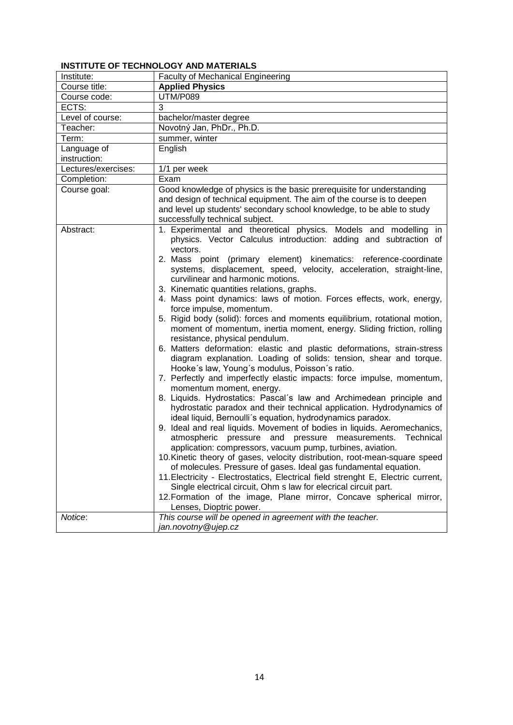## <span id="page-13-1"></span><span id="page-13-0"></span>**INSTITUTE OF TECHNOLOGY AND MATERIALS**

| Institute:          | <b>Faculty of Mechanical Engineering</b>                                                                                                                                                                                                                                                                                                                                                                                                                                                                                                                                                                                                                                                                                                                                                                                                                                                                                                                                                                                                                                                                                                                                                                                                                                                                                                                                                                                                                                                                                                                                                                                                                                                                                                                                                        |
|---------------------|-------------------------------------------------------------------------------------------------------------------------------------------------------------------------------------------------------------------------------------------------------------------------------------------------------------------------------------------------------------------------------------------------------------------------------------------------------------------------------------------------------------------------------------------------------------------------------------------------------------------------------------------------------------------------------------------------------------------------------------------------------------------------------------------------------------------------------------------------------------------------------------------------------------------------------------------------------------------------------------------------------------------------------------------------------------------------------------------------------------------------------------------------------------------------------------------------------------------------------------------------------------------------------------------------------------------------------------------------------------------------------------------------------------------------------------------------------------------------------------------------------------------------------------------------------------------------------------------------------------------------------------------------------------------------------------------------------------------------------------------------------------------------------------------------|
| Course title:       | <b>Applied Physics</b>                                                                                                                                                                                                                                                                                                                                                                                                                                                                                                                                                                                                                                                                                                                                                                                                                                                                                                                                                                                                                                                                                                                                                                                                                                                                                                                                                                                                                                                                                                                                                                                                                                                                                                                                                                          |
| Course code:        | <b>UTM/P089</b>                                                                                                                                                                                                                                                                                                                                                                                                                                                                                                                                                                                                                                                                                                                                                                                                                                                                                                                                                                                                                                                                                                                                                                                                                                                                                                                                                                                                                                                                                                                                                                                                                                                                                                                                                                                 |
| ECTS:               | 3                                                                                                                                                                                                                                                                                                                                                                                                                                                                                                                                                                                                                                                                                                                                                                                                                                                                                                                                                                                                                                                                                                                                                                                                                                                                                                                                                                                                                                                                                                                                                                                                                                                                                                                                                                                               |
| Level of course:    | bachelor/master degree                                                                                                                                                                                                                                                                                                                                                                                                                                                                                                                                                                                                                                                                                                                                                                                                                                                                                                                                                                                                                                                                                                                                                                                                                                                                                                                                                                                                                                                                                                                                                                                                                                                                                                                                                                          |
| Teacher:            | Novotný Jan, PhDr., Ph.D.                                                                                                                                                                                                                                                                                                                                                                                                                                                                                                                                                                                                                                                                                                                                                                                                                                                                                                                                                                                                                                                                                                                                                                                                                                                                                                                                                                                                                                                                                                                                                                                                                                                                                                                                                                       |
| Term:               | summer, winter                                                                                                                                                                                                                                                                                                                                                                                                                                                                                                                                                                                                                                                                                                                                                                                                                                                                                                                                                                                                                                                                                                                                                                                                                                                                                                                                                                                                                                                                                                                                                                                                                                                                                                                                                                                  |
| Language of         | English                                                                                                                                                                                                                                                                                                                                                                                                                                                                                                                                                                                                                                                                                                                                                                                                                                                                                                                                                                                                                                                                                                                                                                                                                                                                                                                                                                                                                                                                                                                                                                                                                                                                                                                                                                                         |
| instruction:        |                                                                                                                                                                                                                                                                                                                                                                                                                                                                                                                                                                                                                                                                                                                                                                                                                                                                                                                                                                                                                                                                                                                                                                                                                                                                                                                                                                                                                                                                                                                                                                                                                                                                                                                                                                                                 |
| Lectures/exercises: | 1/1 per week                                                                                                                                                                                                                                                                                                                                                                                                                                                                                                                                                                                                                                                                                                                                                                                                                                                                                                                                                                                                                                                                                                                                                                                                                                                                                                                                                                                                                                                                                                                                                                                                                                                                                                                                                                                    |
| Completion:         | Exam                                                                                                                                                                                                                                                                                                                                                                                                                                                                                                                                                                                                                                                                                                                                                                                                                                                                                                                                                                                                                                                                                                                                                                                                                                                                                                                                                                                                                                                                                                                                                                                                                                                                                                                                                                                            |
| Course goal:        | Good knowledge of physics is the basic prerequisite for understanding<br>and design of technical equipment. The aim of the course is to deepen<br>and level up students' secondary school knowledge, to be able to study<br>successfully technical subject.                                                                                                                                                                                                                                                                                                                                                                                                                                                                                                                                                                                                                                                                                                                                                                                                                                                                                                                                                                                                                                                                                                                                                                                                                                                                                                                                                                                                                                                                                                                                     |
| Abstract:           | 1. Experimental and theoretical physics. Models and modelling in<br>physics. Vector Calculus introduction: adding and subtraction of<br>vectors.<br>2. Mass point (primary element) kinematics: reference-coordinate<br>systems, displacement, speed, velocity, acceleration, straight-line,<br>curvilinear and harmonic motions.<br>3. Kinematic quantities relations, graphs.<br>4. Mass point dynamics: laws of motion. Forces effects, work, energy,<br>force impulse, momentum.<br>5. Rigid body (solid): forces and moments equilibrium, rotational motion,<br>moment of momentum, inertia moment, energy. Sliding friction, rolling<br>resistance, physical pendulum.<br>6. Matters deformation: elastic and plastic deformations, strain-stress<br>diagram explanation. Loading of solids: tension, shear and torque.<br>Hooke's law, Young's modulus, Poisson's ratio.<br>7. Perfectly and imperfectly elastic impacts: force impulse, momentum,<br>momentum moment, energy.<br>8. Liquids. Hydrostatics: Pascal's law and Archimedean principle and<br>hydrostatic paradox and their technical application. Hydrodynamics of<br>ideal liquid, Bernoulli's equation, hydrodynamics paradox.<br>9. Ideal and real liquids. Movement of bodies in liquids. Aeromechanics,<br>atmospheric pressure and pressure measurements.<br>Technical<br>application: compressors, vacuum pump, turbines, aviation.<br>10. Kinetic theory of gases, velocity distribution, root-mean-square speed<br>of molecules. Pressure of gases. Ideal gas fundamental equation.<br>11. Electricity - Electrostatics, Electrical field strenght E, Electric current,<br>Single electrical circuit, Ohm s law for elecrical circuit part.<br>12. Formation of the image, Plane mirror, Concave spherical mirror, |
| Notice:             | Lenses, Dioptric power.<br>This course will be opened in agreement with the teacher.<br>jan.novotny@ujep.cz                                                                                                                                                                                                                                                                                                                                                                                                                                                                                                                                                                                                                                                                                                                                                                                                                                                                                                                                                                                                                                                                                                                                                                                                                                                                                                                                                                                                                                                                                                                                                                                                                                                                                     |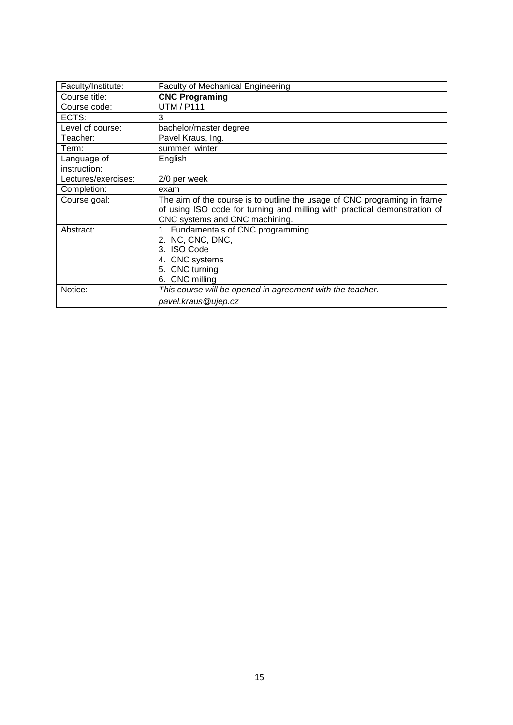<span id="page-14-0"></span>

| Faculty/Institute:          | <b>Faculty of Mechanical Engineering</b>                                                                                                                                                |
|-----------------------------|-----------------------------------------------------------------------------------------------------------------------------------------------------------------------------------------|
| Course title:               | <b>CNC Programing</b>                                                                                                                                                                   |
| Course code:                | <b>UTM / P111</b>                                                                                                                                                                       |
| ECTS:                       | 3                                                                                                                                                                                       |
| Level of course:            | bachelor/master degree                                                                                                                                                                  |
| Teacher:                    | Pavel Kraus, Ing.                                                                                                                                                                       |
| Term:                       | summer, winter                                                                                                                                                                          |
| Language of<br>instruction: | English                                                                                                                                                                                 |
| Lectures/exercises:         | 2/0 per week                                                                                                                                                                            |
| Completion:                 | exam                                                                                                                                                                                    |
| Course goal:                | The aim of the course is to outline the usage of CNC programing in frame<br>of using ISO code for turning and milling with practical demonstration of<br>CNC systems and CNC machining. |
| Abstract:                   | 1. Fundamentals of CNC programming<br>2. NC, CNC, DNC,<br>3. ISO Code<br>4. CNC systems<br>5. CNC turning<br>6. CNC milling                                                             |
| Notice:                     | This course will be opened in agreement with the teacher.<br>pavel.kraus@ujep.cz                                                                                                        |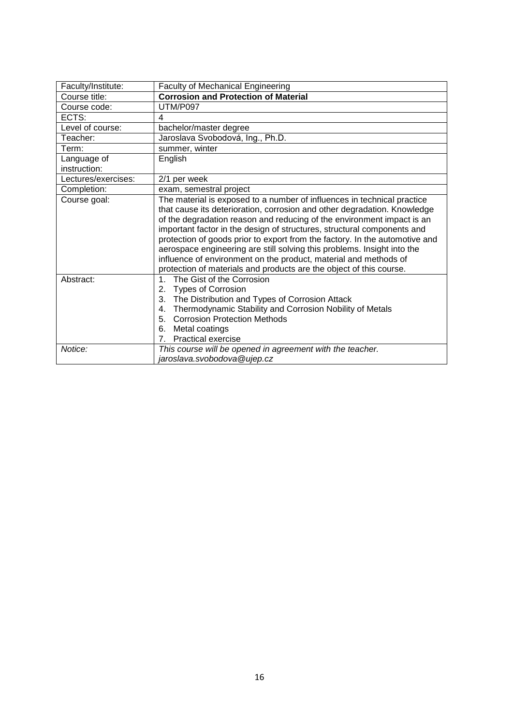<span id="page-15-0"></span>

| Faculty/Institute:  | <b>Faculty of Mechanical Engineering</b>                                                                                                                                                                                                                                                                                                                                                                                                                                                                                                                                                                      |  |
|---------------------|---------------------------------------------------------------------------------------------------------------------------------------------------------------------------------------------------------------------------------------------------------------------------------------------------------------------------------------------------------------------------------------------------------------------------------------------------------------------------------------------------------------------------------------------------------------------------------------------------------------|--|
| Course title:       | <b>Corrosion and Protection of Material</b>                                                                                                                                                                                                                                                                                                                                                                                                                                                                                                                                                                   |  |
| Course code:        | UTM/P097                                                                                                                                                                                                                                                                                                                                                                                                                                                                                                                                                                                                      |  |
| ECTS:               | 4                                                                                                                                                                                                                                                                                                                                                                                                                                                                                                                                                                                                             |  |
| Level of course:    | bachelor/master degree                                                                                                                                                                                                                                                                                                                                                                                                                                                                                                                                                                                        |  |
| Teacher:            | Jaroslava Svobodová, Ing., Ph.D.                                                                                                                                                                                                                                                                                                                                                                                                                                                                                                                                                                              |  |
| Term:               | summer, winter                                                                                                                                                                                                                                                                                                                                                                                                                                                                                                                                                                                                |  |
| Language of         | English                                                                                                                                                                                                                                                                                                                                                                                                                                                                                                                                                                                                       |  |
| instruction:        |                                                                                                                                                                                                                                                                                                                                                                                                                                                                                                                                                                                                               |  |
| Lectures/exercises: | 2/1 per week                                                                                                                                                                                                                                                                                                                                                                                                                                                                                                                                                                                                  |  |
| Completion:         | exam, semestral project                                                                                                                                                                                                                                                                                                                                                                                                                                                                                                                                                                                       |  |
| Course goal:        | The material is exposed to a number of influences in technical practice<br>that cause its deterioration, corrosion and other degradation. Knowledge<br>of the degradation reason and reducing of the environment impact is an<br>important factor in the design of structures, structural components and<br>protection of goods prior to export from the factory. In the automotive and<br>aerospace engineering are still solving this problems. Insight into the<br>influence of environment on the product, material and methods of<br>protection of materials and products are the object of this course. |  |
| Abstract:           | The Gist of the Corrosion<br>$\mathbf{1}$ .<br>2.<br><b>Types of Corrosion</b><br>The Distribution and Types of Corrosion Attack<br>3.<br>Thermodynamic Stability and Corrosion Nobility of Metals<br>4.<br><b>Corrosion Protection Methods</b><br>5.<br>Metal coatings<br>6.<br><b>Practical exercise</b><br>7 <sub>1</sub>                                                                                                                                                                                                                                                                                  |  |
| Notice:             | This course will be opened in agreement with the teacher.<br>jaroslava.svobodova@ujep.cz                                                                                                                                                                                                                                                                                                                                                                                                                                                                                                                      |  |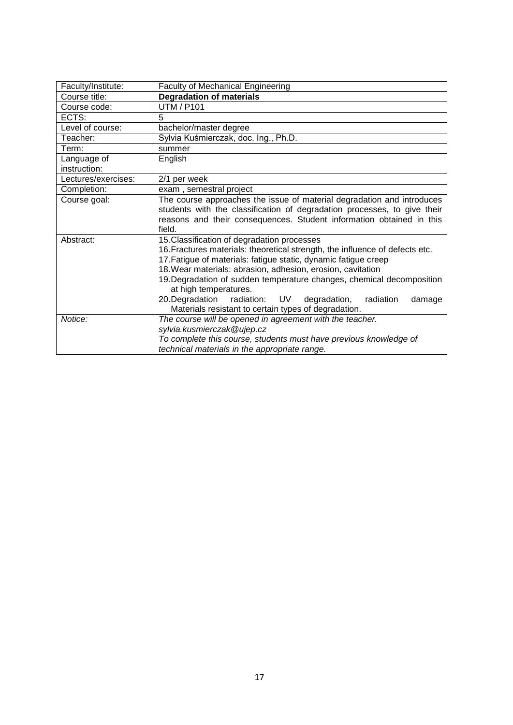<span id="page-16-0"></span>

| Faculty/Institute:          | <b>Faculty of Mechanical Engineering</b>                                                                                                                                                                                                                                                                                                                                                                                                                                                     |  |
|-----------------------------|----------------------------------------------------------------------------------------------------------------------------------------------------------------------------------------------------------------------------------------------------------------------------------------------------------------------------------------------------------------------------------------------------------------------------------------------------------------------------------------------|--|
| Course title:               | <b>Degradation of materials</b>                                                                                                                                                                                                                                                                                                                                                                                                                                                              |  |
| Course code:                | <b>UTM / P101</b>                                                                                                                                                                                                                                                                                                                                                                                                                                                                            |  |
| ECTS:                       | 5                                                                                                                                                                                                                                                                                                                                                                                                                                                                                            |  |
| Level of course:            | bachelor/master degree                                                                                                                                                                                                                                                                                                                                                                                                                                                                       |  |
| Teacher:                    | Sylvia Kuśmierczak, doc. Ing., Ph.D.                                                                                                                                                                                                                                                                                                                                                                                                                                                         |  |
| Term:                       | summer                                                                                                                                                                                                                                                                                                                                                                                                                                                                                       |  |
| Language of<br>instruction: | English                                                                                                                                                                                                                                                                                                                                                                                                                                                                                      |  |
| Lectures/exercises:         | 2/1 per week                                                                                                                                                                                                                                                                                                                                                                                                                                                                                 |  |
| Completion:                 | exam, semestral project                                                                                                                                                                                                                                                                                                                                                                                                                                                                      |  |
| Course goal:                | The course approaches the issue of material degradation and introduces<br>students with the classification of degradation processes, to give their<br>reasons and their consequences. Student information obtained in this<br>field.                                                                                                                                                                                                                                                         |  |
| Abstract:                   | 15. Classification of degradation processes<br>16. Fractures materials: theoretical strength, the influence of defects etc.<br>17. Fatigue of materials: fatigue static, dynamic fatigue creep<br>18. Wear materials: abrasion, adhesion, erosion, cavitation<br>19. Degradation of sudden temperature changes, chemical decomposition<br>at high temperatures.<br>20. Degradation radiation: UV degradation,<br>radiation<br>damage<br>Materials resistant to certain types of degradation. |  |
| Notice:                     | The course will be opened in agreement with the teacher.<br>sylvia.kusmierczak@ujep.cz<br>To complete this course, students must have previous knowledge of<br>technical materials in the appropriate range.                                                                                                                                                                                                                                                                                 |  |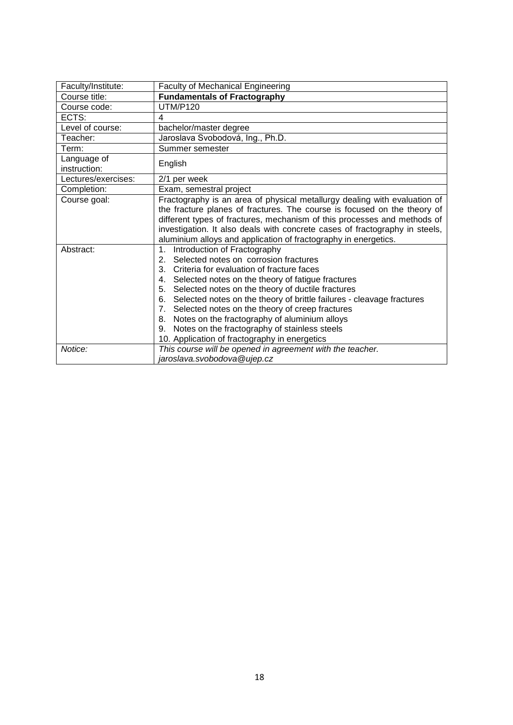<span id="page-17-0"></span>

| Faculty/Institute:          | <b>Faculty of Mechanical Engineering</b>                                                                                                                                                                                                                                                                                                                                                                                                                                                                                                                 |  |
|-----------------------------|----------------------------------------------------------------------------------------------------------------------------------------------------------------------------------------------------------------------------------------------------------------------------------------------------------------------------------------------------------------------------------------------------------------------------------------------------------------------------------------------------------------------------------------------------------|--|
| Course title:               | <b>Fundamentals of Fractography</b>                                                                                                                                                                                                                                                                                                                                                                                                                                                                                                                      |  |
| Course code:                | <b>UTM/P120</b>                                                                                                                                                                                                                                                                                                                                                                                                                                                                                                                                          |  |
| ECTS:                       | 4                                                                                                                                                                                                                                                                                                                                                                                                                                                                                                                                                        |  |
| Level of course:            | bachelor/master degree                                                                                                                                                                                                                                                                                                                                                                                                                                                                                                                                   |  |
| Teacher:                    | Jaroslava Svobodová, Ing., Ph.D.                                                                                                                                                                                                                                                                                                                                                                                                                                                                                                                         |  |
| Term:                       | Summer semester                                                                                                                                                                                                                                                                                                                                                                                                                                                                                                                                          |  |
| Language of<br>instruction: | English                                                                                                                                                                                                                                                                                                                                                                                                                                                                                                                                                  |  |
| Lectures/exercises:         | 2/1 per week                                                                                                                                                                                                                                                                                                                                                                                                                                                                                                                                             |  |
| Completion:                 | Exam, semestral project                                                                                                                                                                                                                                                                                                                                                                                                                                                                                                                                  |  |
| Course goal:                | Fractography is an area of physical metallurgy dealing with evaluation of<br>the fracture planes of fractures. The course is focused on the theory of<br>different types of fractures, mechanism of this processes and methods of<br>investigation. It also deals with concrete cases of fractography in steels,<br>aluminium alloys and application of fractography in energetics.                                                                                                                                                                      |  |
| Abstract:                   | Introduction of Fractography<br>1 <sub>1</sub><br>2. Selected notes on corrosion fractures<br>3. Criteria for evaluation of fracture faces<br>4. Selected notes on the theory of fatigue fractures<br>5. Selected notes on the theory of ductile fractures<br>6. Selected notes on the theory of brittle failures - cleavage fractures<br>7. Selected notes on the theory of creep fractures<br>8. Notes on the fractography of aluminium alloys<br>Notes on the fractography of stainless steels<br>9.<br>10. Application of fractography in energetics |  |
| Notice:                     | This course will be opened in agreement with the teacher.<br>jaroslava.svobodova@ujep.cz                                                                                                                                                                                                                                                                                                                                                                                                                                                                 |  |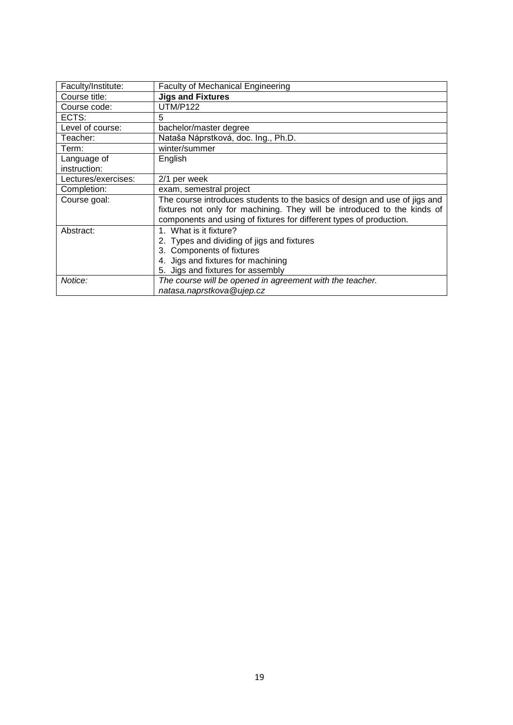<span id="page-18-0"></span>

| Faculty/Institute:  | <b>Faculty of Mechanical Engineering</b>                                   |
|---------------------|----------------------------------------------------------------------------|
| Course title:       | <b>Jigs and Fixtures</b>                                                   |
| Course code:        | <b>UTM/P122</b>                                                            |
| ECTS:               | 5                                                                          |
| Level of course:    | bachelor/master degree                                                     |
| Teacher:            | Nataša Náprstková, doc. Ing., Ph.D.                                        |
| Term:               | winter/summer                                                              |
| Language of         | English                                                                    |
| instruction:        |                                                                            |
| Lectures/exercises: | 2/1 per week                                                               |
| Completion:         | exam, semestral project                                                    |
| Course goal:        | The course introduces students to the basics of design and use of jigs and |
|                     | fixtures not only for machining. They will be introduced to the kinds of   |
|                     | components and using of fixtures for different types of production.        |
| Abstract:           | 1. What is it fixture?                                                     |
|                     | 2. Types and dividing of jigs and fixtures                                 |
|                     | 3. Components of fixtures                                                  |
|                     | 4. Jigs and fixtures for machining                                         |
|                     | 5. Jigs and fixtures for assembly                                          |
| Notice:             | The course will be opened in agreement with the teacher.                   |
|                     | natasa.naprstkova@ujep.cz                                                  |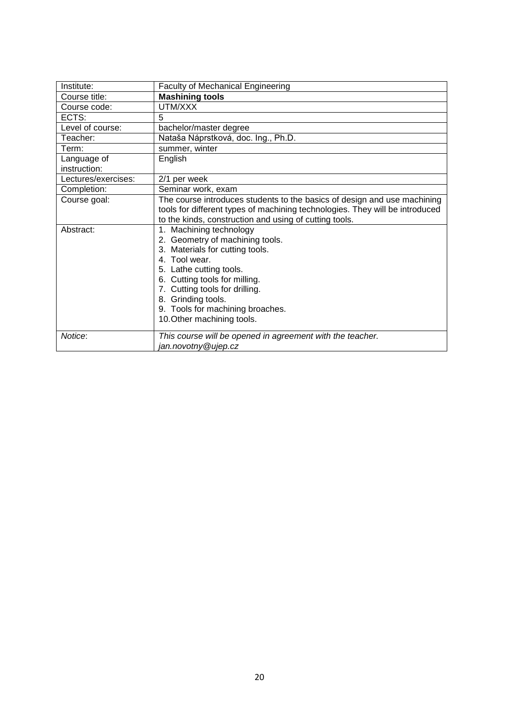<span id="page-19-0"></span>

| Institute:                  | <b>Faculty of Mechanical Engineering</b>                                                                                                                                                                                                                                                             |
|-----------------------------|------------------------------------------------------------------------------------------------------------------------------------------------------------------------------------------------------------------------------------------------------------------------------------------------------|
| Course title:               | <b>Mashining tools</b>                                                                                                                                                                                                                                                                               |
| Course code:                | UTM/XXX                                                                                                                                                                                                                                                                                              |
| ECTS:                       | 5                                                                                                                                                                                                                                                                                                    |
| Level of course:            | bachelor/master degree                                                                                                                                                                                                                                                                               |
| Teacher:                    | Nataša Náprstková, doc. Ing., Ph.D.                                                                                                                                                                                                                                                                  |
| Term:                       | summer, winter                                                                                                                                                                                                                                                                                       |
| Language of<br>instruction: | English                                                                                                                                                                                                                                                                                              |
| Lectures/exercises:         | 2/1 per week                                                                                                                                                                                                                                                                                         |
| Completion:                 | Seminar work, exam                                                                                                                                                                                                                                                                                   |
| Course goal:                | The course introduces students to the basics of design and use machining<br>tools for different types of machining technologies. They will be introduced<br>to the kinds, construction and using of cutting tools.                                                                                   |
| Abstract:                   | 1. Machining technology<br>2. Geometry of machining tools.<br>3. Materials for cutting tools.<br>4. Tool wear.<br>5. Lathe cutting tools.<br>6. Cutting tools for milling.<br>7. Cutting tools for drilling.<br>8. Grinding tools.<br>9. Tools for machining broaches.<br>10. Other machining tools. |
| Notice:                     | This course will be opened in agreement with the teacher.<br>jan.novotny@ujep.cz                                                                                                                                                                                                                     |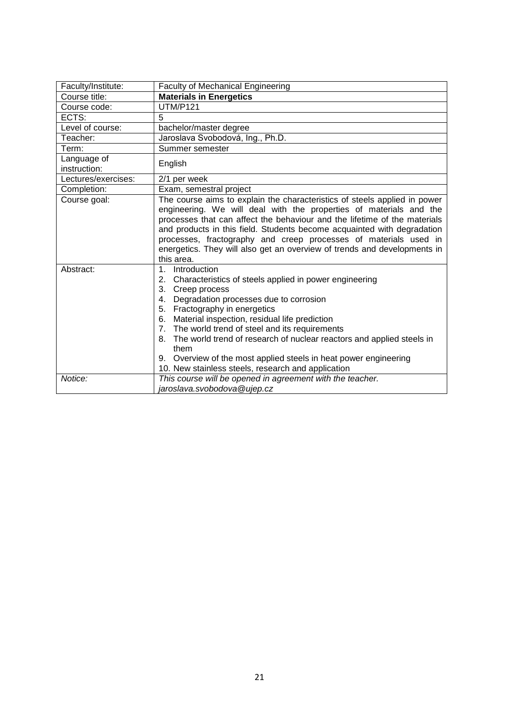<span id="page-20-0"></span>

| Faculty/Institute:          | <b>Faculty of Mechanical Engineering</b>                                                                                                                                                                                                                                                                                                                                                                                                                                                                                             |  |
|-----------------------------|--------------------------------------------------------------------------------------------------------------------------------------------------------------------------------------------------------------------------------------------------------------------------------------------------------------------------------------------------------------------------------------------------------------------------------------------------------------------------------------------------------------------------------------|--|
| Course title:               | <b>Materials in Energetics</b>                                                                                                                                                                                                                                                                                                                                                                                                                                                                                                       |  |
| Course code:                | <b>UTM/P121</b>                                                                                                                                                                                                                                                                                                                                                                                                                                                                                                                      |  |
| ECTS:                       | 5                                                                                                                                                                                                                                                                                                                                                                                                                                                                                                                                    |  |
| Level of course:            | bachelor/master degree                                                                                                                                                                                                                                                                                                                                                                                                                                                                                                               |  |
| Teacher:                    | Jaroslava Svobodová, Ing., Ph.D.                                                                                                                                                                                                                                                                                                                                                                                                                                                                                                     |  |
| Term:                       | Summer semester                                                                                                                                                                                                                                                                                                                                                                                                                                                                                                                      |  |
| Language of<br>instruction: | English                                                                                                                                                                                                                                                                                                                                                                                                                                                                                                                              |  |
| Lectures/exercises:         | 2/1 per week                                                                                                                                                                                                                                                                                                                                                                                                                                                                                                                         |  |
| Completion:                 | Exam, semestral project                                                                                                                                                                                                                                                                                                                                                                                                                                                                                                              |  |
| Course goal:                | The course aims to explain the characteristics of steels applied in power<br>engineering. We will deal with the properties of materials and the<br>processes that can affect the behaviour and the lifetime of the materials<br>and products in this field. Students become acquainted with degradation<br>processes, fractography and creep processes of materials used in<br>energetics. They will also get an overview of trends and developments in<br>this area.                                                                |  |
| Abstract:                   | Introduction<br>$1_{-}$<br>2. Characteristics of steels applied in power engineering<br>3. Creep process<br>Degradation processes due to corrosion<br>4.<br>5. Fractography in energetics<br>Material inspection, residual life prediction<br>6.<br>The world trend of steel and its requirements<br>7 <sub>1</sub><br>8. The world trend of research of nuclear reactors and applied steels in<br>them<br>Overview of the most applied steels in heat power engineering<br>9.<br>10. New stainless steels, research and application |  |
| Notice:                     | This course will be opened in agreement with the teacher.<br>jaroslava.svobodova@ujep.cz                                                                                                                                                                                                                                                                                                                                                                                                                                             |  |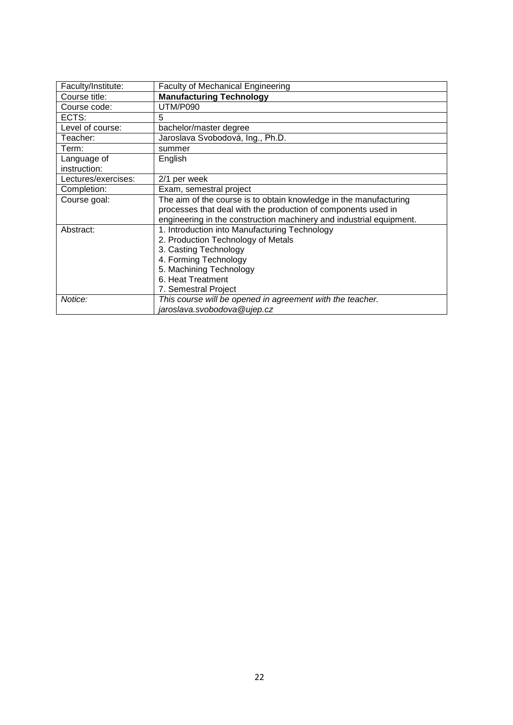<span id="page-21-0"></span>

| Faculty/Institute:  | <b>Faculty of Mechanical Engineering</b>                            |
|---------------------|---------------------------------------------------------------------|
| Course title:       | <b>Manufacturing Technology</b>                                     |
| Course code:        | <b>UTM/P090</b>                                                     |
| ECTS:               | 5                                                                   |
| Level of course:    | bachelor/master degree                                              |
| Teacher:            | Jaroslava Svobodová, Ing., Ph.D.                                    |
| Term:               | summer                                                              |
| Language of         | English                                                             |
| instruction:        |                                                                     |
| Lectures/exercises: | 2/1 per week                                                        |
| Completion:         | Exam, semestral project                                             |
| Course goal:        | The aim of the course is to obtain knowledge in the manufacturing   |
|                     | processes that deal with the production of components used in       |
|                     | engineering in the construction machinery and industrial equipment. |
| Abstract:           | 1. Introduction into Manufacturing Technology                       |
|                     | 2. Production Technology of Metals                                  |
|                     | 3. Casting Technology                                               |
|                     | 4. Forming Technology                                               |
|                     | 5. Machining Technology                                             |
|                     | 6. Heat Treatment                                                   |
|                     | 7. Semestral Project                                                |
| Notice:             | This course will be opened in agreement with the teacher.           |
|                     | jaroslava.svobodova@ujep.cz                                         |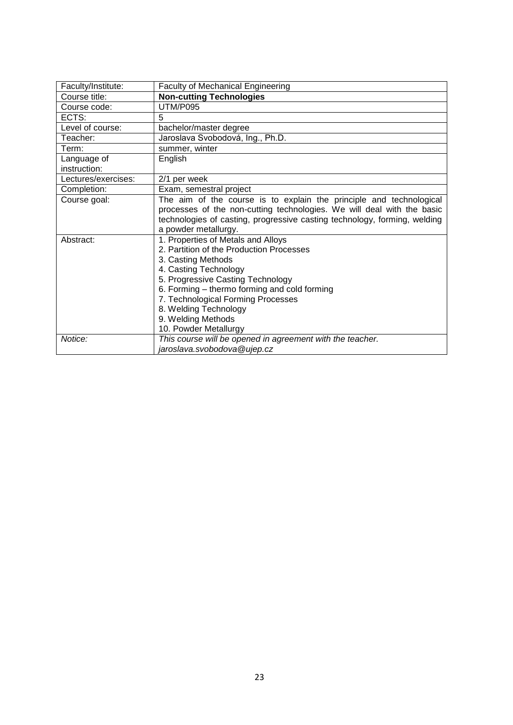<span id="page-22-0"></span>

| Faculty/Institute:          | <b>Faculty of Mechanical Engineering</b>                                                                                                                                                                                                                                                                                         |
|-----------------------------|----------------------------------------------------------------------------------------------------------------------------------------------------------------------------------------------------------------------------------------------------------------------------------------------------------------------------------|
| Course title:               | <b>Non-cutting Technologies</b>                                                                                                                                                                                                                                                                                                  |
| Course code:                | <b>UTM/P095</b>                                                                                                                                                                                                                                                                                                                  |
| ECTS:                       | 5                                                                                                                                                                                                                                                                                                                                |
| Level of course:            | bachelor/master degree                                                                                                                                                                                                                                                                                                           |
| Teacher:                    | Jaroslava Svobodová, Ing., Ph.D.                                                                                                                                                                                                                                                                                                 |
| Term:                       | summer, winter                                                                                                                                                                                                                                                                                                                   |
| Language of<br>instruction: | English                                                                                                                                                                                                                                                                                                                          |
| Lectures/exercises:         | 2/1 per week                                                                                                                                                                                                                                                                                                                     |
| Completion:                 | Exam, semestral project                                                                                                                                                                                                                                                                                                          |
| Course goal:                | The aim of the course is to explain the principle and technological<br>processes of the non-cutting technologies. We will deal with the basic<br>technologies of casting, progressive casting technology, forming, welding<br>a powder metallurgy.                                                                               |
| Abstract:                   | 1. Properties of Metals and Alloys<br>2. Partition of the Production Processes<br>3. Casting Methods<br>4. Casting Technology<br>5. Progressive Casting Technology<br>6. Forming – thermo forming and cold forming<br>7. Technological Forming Processes<br>8. Welding Technology<br>9. Welding Methods<br>10. Powder Metallurgy |
| Notice:                     | This course will be opened in agreement with the teacher.<br>jaroslava.svobodova@ujep.cz                                                                                                                                                                                                                                         |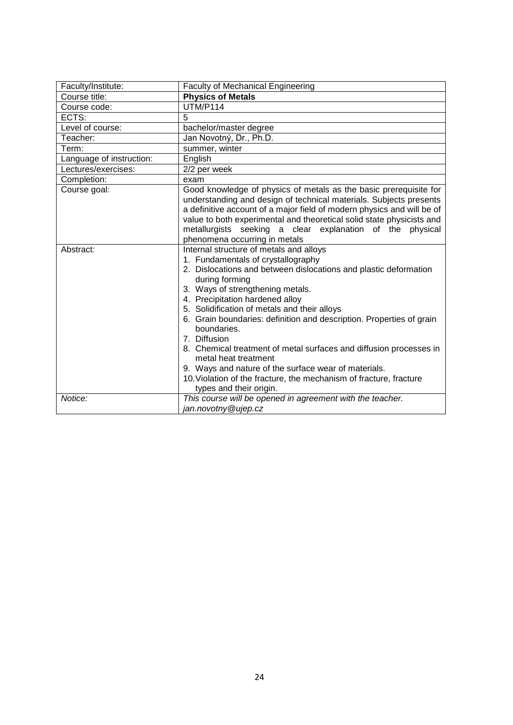<span id="page-23-0"></span>

| Faculty/Institute:       | <b>Faculty of Mechanical Engineering</b>                                                                                                                                                                                                                                                                                                                                                                                                                                                                                                                                                                                                                 |
|--------------------------|----------------------------------------------------------------------------------------------------------------------------------------------------------------------------------------------------------------------------------------------------------------------------------------------------------------------------------------------------------------------------------------------------------------------------------------------------------------------------------------------------------------------------------------------------------------------------------------------------------------------------------------------------------|
| Course title:            | <b>Physics of Metals</b>                                                                                                                                                                                                                                                                                                                                                                                                                                                                                                                                                                                                                                 |
| Course code:             | <b>UTM/P114</b>                                                                                                                                                                                                                                                                                                                                                                                                                                                                                                                                                                                                                                          |
| ECTS:                    | 5                                                                                                                                                                                                                                                                                                                                                                                                                                                                                                                                                                                                                                                        |
| Level of course:         | bachelor/master degree                                                                                                                                                                                                                                                                                                                                                                                                                                                                                                                                                                                                                                   |
| Teacher:                 | Jan Novotný, Dr., Ph.D.                                                                                                                                                                                                                                                                                                                                                                                                                                                                                                                                                                                                                                  |
| Term:                    | summer, winter                                                                                                                                                                                                                                                                                                                                                                                                                                                                                                                                                                                                                                           |
| Language of instruction: | English                                                                                                                                                                                                                                                                                                                                                                                                                                                                                                                                                                                                                                                  |
| Lectures/exercises:      | 2/2 per week                                                                                                                                                                                                                                                                                                                                                                                                                                                                                                                                                                                                                                             |
| Completion:              | exam                                                                                                                                                                                                                                                                                                                                                                                                                                                                                                                                                                                                                                                     |
| Course goal:             | Good knowledge of physics of metals as the basic prerequisite for<br>understanding and design of technical materials. Subjects presents<br>a definitive account of a major field of modern physics and will be of<br>value to both experimental and theoretical solid state physicists and<br>metallurgists seeking a clear explanation of the physical<br>phenomena occurring in metals                                                                                                                                                                                                                                                                 |
| Abstract:                | Internal structure of metals and alloys<br>1. Fundamentals of crystallography<br>2. Dislocations and between dislocations and plastic deformation<br>during forming<br>3. Ways of strengthening metals.<br>4. Precipitation hardened alloy<br>5. Solidification of metals and their alloys<br>6. Grain boundaries: definition and description. Properties of grain<br>boundaries.<br>7. Diffusion<br>8. Chemical treatment of metal surfaces and diffusion processes in<br>metal heat treatment<br>9. Ways and nature of the surface wear of materials.<br>10. Violation of the fracture, the mechanism of fracture, fracture<br>types and their origin. |
| Notice:                  | This course will be opened in agreement with the teacher.<br>jan.novotny@ujep.cz                                                                                                                                                                                                                                                                                                                                                                                                                                                                                                                                                                         |